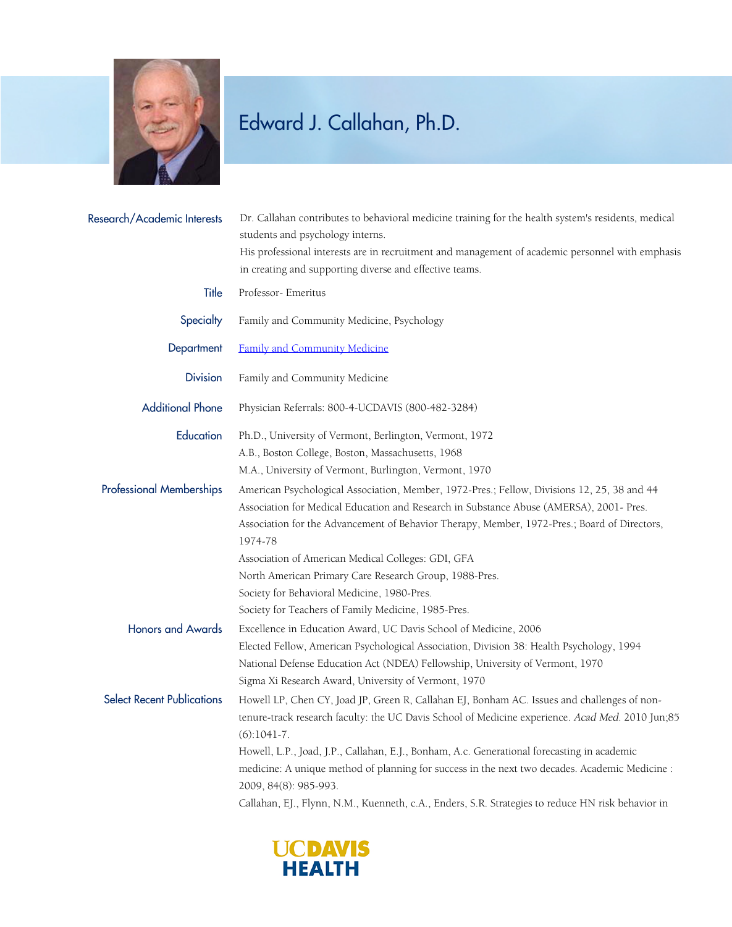

## Edward J. Callahan, Ph.D.

| Research/Academic Interests       | Dr. Callahan contributes to behavioral medicine training for the health system's residents, medical<br>students and psychology interns.<br>His professional interests are in recruitment and management of academic personnel with emphasis<br>in creating and supporting diverse and effective teams. |
|-----------------------------------|--------------------------------------------------------------------------------------------------------------------------------------------------------------------------------------------------------------------------------------------------------------------------------------------------------|
| Title                             | Professor- Emeritus                                                                                                                                                                                                                                                                                    |
| Specialty                         | Family and Community Medicine, Psychology                                                                                                                                                                                                                                                              |
| Department                        | <b>Family and Community Medicine</b>                                                                                                                                                                                                                                                                   |
| <b>Division</b>                   | Family and Community Medicine                                                                                                                                                                                                                                                                          |
| <b>Additional Phone</b>           | Physician Referrals: 800-4-UCDAVIS (800-482-3284)                                                                                                                                                                                                                                                      |
| Education                         | Ph.D., University of Vermont, Berlington, Vermont, 1972                                                                                                                                                                                                                                                |
|                                   | A.B., Boston College, Boston, Massachusetts, 1968                                                                                                                                                                                                                                                      |
|                                   | M.A., University of Vermont, Burlington, Vermont, 1970                                                                                                                                                                                                                                                 |
| <b>Professional Memberships</b>   | American Psychological Association, Member, 1972-Pres.; Fellow, Divisions 12, 25, 38 and 44<br>Association for Medical Education and Research in Substance Abuse (AMERSA), 2001- Pres.<br>Association for the Advancement of Behavior Therapy, Member, 1972-Pres.; Board of Directors,<br>1974-78      |
|                                   | Association of American Medical Colleges: GDI, GFA                                                                                                                                                                                                                                                     |
|                                   | North American Primary Care Research Group, 1988-Pres.                                                                                                                                                                                                                                                 |
|                                   | Society for Behavioral Medicine, 1980-Pres.                                                                                                                                                                                                                                                            |
|                                   | Society for Teachers of Family Medicine, 1985-Pres.                                                                                                                                                                                                                                                    |
| <b>Honors and Awards</b>          | Excellence in Education Award, UC Davis School of Medicine, 2006                                                                                                                                                                                                                                       |
|                                   | Elected Fellow, American Psychological Association, Division 38: Health Psychology, 1994<br>National Defense Education Act (NDEA) Fellowship, University of Vermont, 1970<br>Sigma Xi Research Award, University of Vermont, 1970                                                                      |
| <b>Select Recent Publications</b> | Howell LP, Chen CY, Joad JP, Green R, Callahan EJ, Bonham AC. Issues and challenges of non-<br>tenure-track research faculty: the UC Davis School of Medicine experience. Acad Med. 2010 Jun;85<br>$(6):1041-7.$                                                                                       |
|                                   | Howell, L.P., Joad, J.P., Callahan, E.J., Bonham, A.c. Generational forecasting in academic<br>medicine: A unique method of planning for success in the next two decades. Academic Medicine :<br>2009, 84(8): 985-993.                                                                                 |
|                                   | Callahan, EJ., Flynn, N.M., Kuenneth, c.A., Enders, S.R. Strategies to reduce HN risk behavior in                                                                                                                                                                                                      |
|                                   |                                                                                                                                                                                                                                                                                                        |